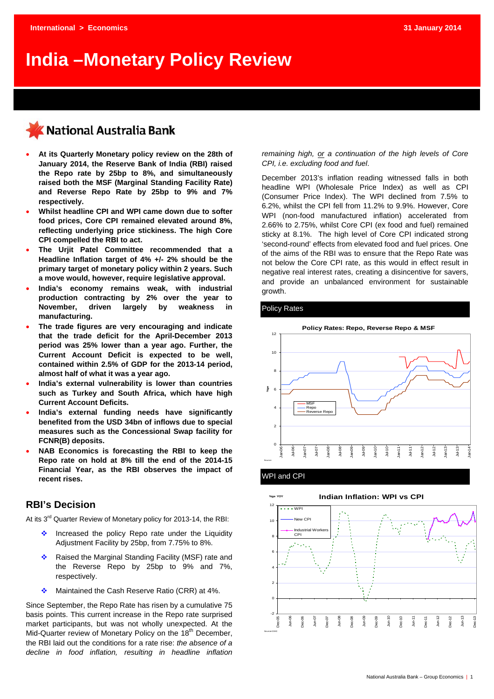# **India –Monetary Policy Review**

## **National Australia Bank**

- **At its Quarterly Monetary policy review on the 28th of January 2014, the Reserve Bank of India (RBI) raised the Repo rate by 25bp to 8%, and simultaneously raised both the MSF (Marginal Standing Facility Rate) and Reverse Repo Rate by 25bp to 9% and 7% respectively.**
- **Whilst headline CPI and WPI came down due to softer food prices, Core CPI remained elevated around 8%, reflecting underlying price stickiness. The high Core CPI compelled the RBI to act.**
- **The Urjit Patel Committee recommended that a Headline Inflation target of 4% +/- 2% should be the primary target of monetary policy within 2 years. Such a move would, however, require legislative approval.**
- **India's economy remains weak, with industrial production contracting by 2% over the year to November, driven largely by weakness in manufacturing.**
- **The trade figures are very encouraging and indicate that the trade deficit for the April-December 2013 period was 25% lower than a year ago. Further, the Current Account Deficit is expected to be well, contained within 2.5% of GDP for the 2013-14 period, almost half of what it was a year ago.**
- **India's external vulnerability is lower than countries such as Turkey and South Africa, which have high Current Account Deficits.**
- **India's external funding needs have significantly benefited from the USD 34bn of inflows due to special measures such as the Concessional Swap facility for FCNR(B) deposits.**
- **NAB Economics is forecasting the RBI to keep the Repo rate on hold at 8% till the end of the 2014-15 Financial Year, as the RBI observes the impact of recent rises.**

## **RBI's Decision**

At its 3<sup>rd</sup> Quarter Review of Monetary policy for 2013-14, the RBI:

- $\cdot$  Increased the policy Repo rate under the Liquidity Adjustment Facility by 25bp, from 7.75% to 8%.
- \* Raised the Marginal Standing Facility (MSF) rate and the Reverse Repo by 25bp to 9% and 7%, respectively.
- Maintained the Cash Reserve Ratio (CRR) at 4%.

Since September, the Repo Rate has risen by a cumulative 75 basis points. This current increase in the Repo rate surprised market participants, but was not wholly unexpected. At the Mid-Quarter review of Monetary Policy on the 18<sup>th</sup> December, the RBI laid out the conditions for a rate rise: *the absence of a decline in food inflation, resulting in headline inflation*  *remaining high, or a continuation of the high levels of Core CPI, i.e. excluding food and fuel*.

December 2013's inflation reading witnessed falls in both headline WPI (Wholesale Price Index) as well as CPI (Consumer Price Index). The WPI declined from 7.5% to 6.2%, whilst the CPI fell from 11.2% to 9.9%. However, Core WPI (non-food manufactured inflation) accelerated from 2.66% to 2.75%, whilst Core CPI (ex food and fuel) remained sticky at 8.1%. The high level of Core CPI indicated strong 'second-round' effects from elevated food and fuel prices. One of the aims of the RBI was to ensure that the Repo Rate was not below the Core CPI rate, as this would in effect result in negative real interest rates, creating a disincentive for savers, and provide an unbalanced environment for sustainable growth.

#### Policy Rates





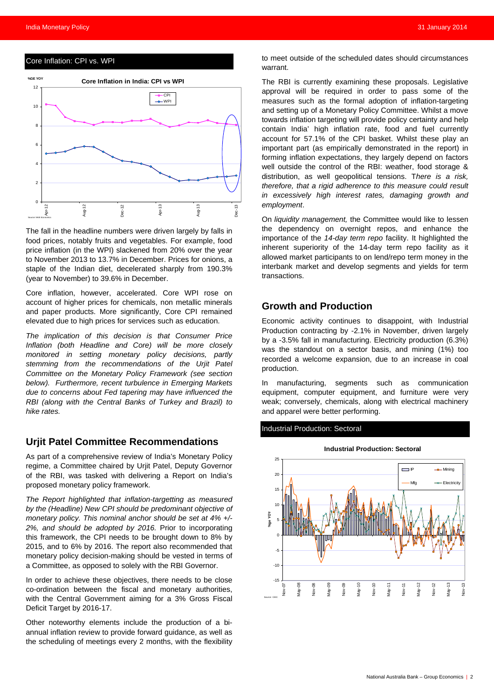#### Core Inflation: CPI vs. WPI



The fall in the headline numbers were driven largely by falls in food prices, notably fruits and vegetables. For example, food price inflation (in the WPI) slackened from 20% over the year to November 2013 to 13.7% in December. Prices for onions, a staple of the Indian diet, decelerated sharply from 190.3% (year to November) to 39.6% in December.

Core inflation, however, accelerated. Core WPI rose on account of higher prices for chemicals, non metallic minerals and paper products. More significantly, Core CPI remained elevated due to high prices for services such as education.

*The implication of this decision is that Consumer Price Inflation (both Headline and Core) will be more closely monitored in setting monetary policy decisions, partly stemming from the recommendations of the Urjit Patel Committee on the Monetary Policy Framework (see section below). Furthermore, recent turbulence in Emerging Markets due to concerns about Fed tapering may have influenced the RBI (along with the Central Banks of Turkey and Brazil) to hike rates.* 

#### **Urjit Patel Committee Recommendations**

As part of a comprehensive review of India's Monetary Policy regime, a Committee chaired by Urjit Patel, Deputy Governor of the RBI, was tasked with delivering a Report on India's proposed monetary policy framework.

*The Report highlighted that inflation-targetting as measured by the (Headline) New CPI should be predominant objective of monetary policy. This nominal anchor should be set at 4% +/- 2%, and should be adopted by 2016.* Prior to incorporating this framework, the CPI needs to be brought down to 8% by 2015, and to 6% by 2016. The report also recommended that monetary policy decision-making should be vested in terms of a Committee, as opposed to solely with the RBI Governor.

In order to achieve these objectives, there needs to be close co-ordination between the fiscal and monetary authorities, with the Central Government aiming for a 3% Gross Fiscal Deficit Target by 2016-17.

Other noteworthy elements include the production of a biannual inflation review to provide forward guidance, as well as the scheduling of meetings every 2 months, with the flexibility to meet outside of the scheduled dates should circumstances warrant.

The RBI is currently examining these proposals. Legislative approval will be required in order to pass some of the measures such as the formal adoption of inflation-targeting and setting up of a Monetary Policy Committee. Whilst a move towards inflation targeting will provide policy certainty and help contain India' high inflation rate, food and fuel currently account for 57.1% of the CPI basket. Whilst these play an important part (as empirically demonstrated in the report) in forming inflation expectations, they largely depend on factors well outside the control of the RBI: weather, food storage & distribution, as well geopolitical tensions. T*here is a risk, therefore, that a rigid adherence to this measure could result in excessively high interest rates, damaging growth and employment*.

On *liquidity management,* the Committee would like to lessen the dependency on overnight repos, and enhance the importance of the *14-day term repo* facility. It highlighted the inherent superiority of the 14-day term repo facility as it allowed market participants to on lend/repo term money in the interbank market and develop segments and yields for term transactions.

## **Growth and Production**

Economic activity continues to disappoint, with Industrial Production contracting by -2.1% in November, driven largely by a -3.5% fall in manufacturing. Electricity production (6.3%) was the standout on a sector basis, and mining (1%) too recorded a welcome expansion, due to an increase in coal production.

In manufacturing, segments such as communication equipment, computer equipment, and furniture were very weak; conversely, chemicals, along with electrical machinery and apparel were better performing.

#### Industrial Production: Sectoral

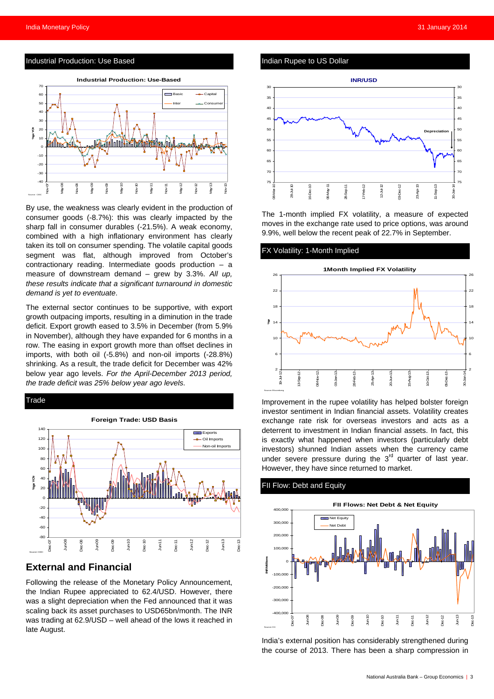#### Industrial Production: Use Based



By use, the weakness was clearly evident in the production of consumer goods (-8.7%): this was clearly impacted by the sharp fall in consumer durables (-21.5%). A weak economy, combined with a high inflationary environment has clearly taken its toll on consumer spending. The volatile capital goods segment was flat, although improved from October's contractionary reading. Intermediate goods production – a measure of downstream demand – grew by 3.3%. *All up, these results indicate that a significant turnaround in domestic demand is yet to eventuate*.

The external sector continues to be supportive, with export growth outpacing imports, resulting in a diminution in the trade deficit. Export growth eased to 3.5% in December (from 5.9% in November), although they have expanded for 6 months in a row. The easing in export growth more than offset declines in imports, with both oil (-5.8%) and non-oil imports (-28.8%) shrinking. As a result, the trade deficit for December was 42% below year ago levels. *For the April-December 2013 period, the trade deficit was 25% below year ago levels*.



## **External and Financial**

Following the release of the Monetary Policy Announcement, the Indian Rupee appreciated to 62.4/USD. However, there was a slight depreciation when the Fed announced that it was scaling back its asset purchases to USD65bn/month. The INR was trading at 62.9/USD – well ahead of the lows it reached in late August.

#### Indian Rupee to US Dollar



The 1-month implied FX volatility, a measure of expected moves in the exchange rate used to price options, was around 9.9%, well below the recent peak of 22.7% in September.

#### X Volatility: 1-Month Implied



Improvement in the rupee volatility has helped bolster foreign investor sentiment in Indian financial assets. Volatility creates exchange rate risk for overseas investors and acts as a deterrent to investment in Indian financial assets. In fact, this is exactly what happened when investors (particularly debt investors) shunned Indian assets when the currency came under severe pressure during the  $3<sup>rd</sup>$  quarter of last year. However, they have since returned to market.

#### FII Flow: Debt and Equity



India's external position has considerably strengthened during the course of 2013. There has been a sharp compression in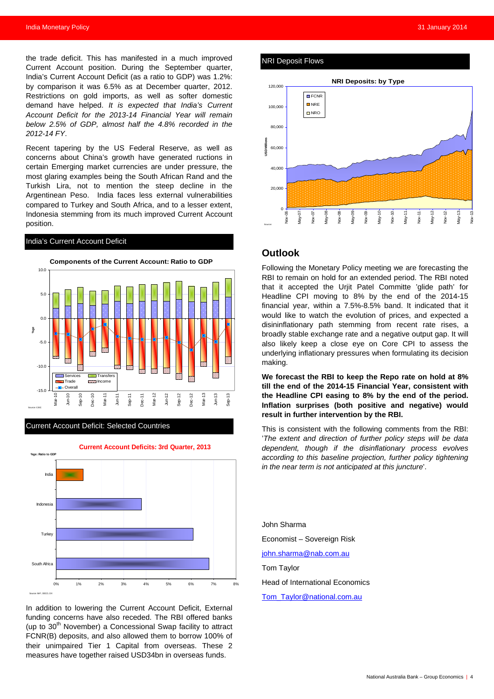the trade deficit. This has manifested in a much improved Current Account position. During the September quarter, India's Current Account Deficit (as a ratio to GDP) was 1.2%: by comparison it was 6.5% as at December quarter, 2012. Restrictions on gold imports, as well as softer domestic demand have helped. *It is expected that India's Current Account Deficit for the 2013-14 Financial Year will remain below 2.5% of GDP, almost half the 4.8% recorded in the 2012-14 FY*.

Recent tapering by the US Federal Reserve, as well as concerns about China's growth have generated ructions in certain Emerging market currencies are under pressure, the most glaring examples being the South African Rand and the Turkish Lira, not to mention the steep decline in the Argentinean Peso. India faces less external vulnerabilities compared to Turkey and South Africa, and to a lesser extent, Indonesia stemming from its much improved Current Account position.

#### India's Current Account Deficit



#### Current Account Deficit: Selected Countries



In addition to lowering the Current Account Deficit, External funding concerns have also receded. The RBI offered banks (up to  $30<sup>th</sup>$  November) a Concessional Swap facility to attract FCNR(B) deposits, and also allowed them to borrow 100% of their unimpaired Tier 1 Capital from overseas. These 2 measures have together raised USD34bn in overseas funds.

#### NRI Deposit Flows



#### **Outlook**

Following the Monetary Policy meeting we are forecasting the RBI to remain on hold for an extended period. The RBI noted that it accepted the Urjit Patel Committe 'glide path' for Headline CPI moving to 8% by the end of the 2014-15 financial year, within a 7.5%-8.5% band. It indicated that it would like to watch the evolution of prices, and expected a disininflationary path stemming from recent rate rises, a broadly stable exchange rate and a negative output gap. It will also likely keep a close eye on Core CPI to assess the underlying inflationary pressures when formulating its decision making.

**We forecast the RBI to keep the Repo rate on hold at 8% till the end of the 2014-15 Financial Year, consistent with the Headline CPI easing to 8% by the end of the period. Inflation surprises (both positive and negative) would result in further intervention by the RBI.** 

This is consistent with the following comments from the RBI: '*The extent and direction of further policy steps will be data dependent, though if the disinflationary process evolves according to this baseline projection, further policy tightening in the near term is not anticipated at this juncture*'.

John Sharma Economist – Sovereign Risk [john.sharma@nab.com.au](mailto:john.sharma@nab.com.au) Tom Taylor Head of International Economics [Tom\\_Taylor@national.com.au](mailto:Tom_Taylor@national.com.au)